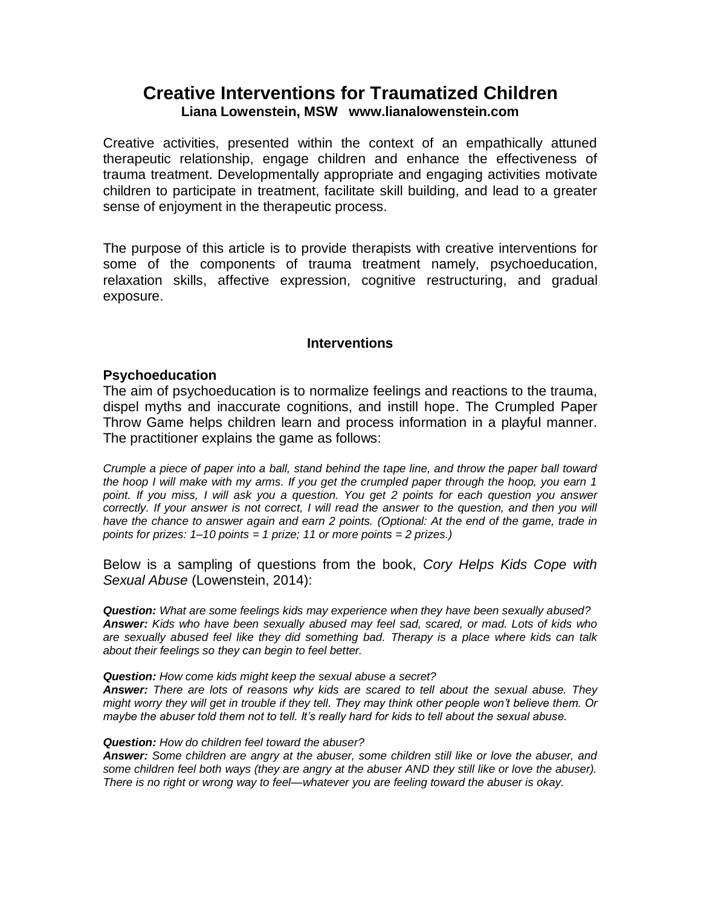# **Creative Interventions for Traumatized Children Liana Lowenstein, MSW www.lianalowenstein.com**

Creative activities, presented within the context of an empathically attuned therapeutic relationship, engage children and enhance the effectiveness of trauma treatment. Developmentally appropriate and engaging activities motivate children to participate in treatment, facilitate skill building, and lead to a greater sense of enjoyment in the therapeutic process.

The purpose of this article is to provide therapists with creative interventions for some of the components of trauma treatment namely, psychoeducation, relaxation skills, affective expression, cognitive restructuring, and gradual exposure.

### **Interventions**

### **Psychoeducation**

The aim of psychoeducation is to normalize feelings and reactions to the trauma, dispel myths and inaccurate cognitions, and instill hope. The Crumpled Paper Throw Game helps children learn and process information in a playful manner. The practitioner explains the game as follows:

*Crumple a piece of paper into a ball, stand behind the tape line, and throw the paper ball toward the hoop I will make with my arms. If you get the crumpled paper through the hoop, you earn 1 point. If you miss, I will ask you a question. You get 2 points for each question you answer correctly. If your answer is not correct, I will read the answer to the question, and then you will have the chance to answer again and earn 2 points. (Optional: At the end of the game, trade in points for prizes: 1–10 points = 1 prize; 11 or more points = 2 prizes.)*

Below is a sampling of questions from the book, *Cory Helps Kids Cope with Sexual Abuse* (Lowenstein, 2014):

*Question: What are some feelings kids may experience when they have been sexually abused? Answer: Kids who have been sexually abused may feel sad, scared, or mad. Lots of kids who are sexually abused feel like they did something bad. Therapy is a place where kids can talk about their feelings so they can begin to feel better.* 

#### *Question: How come kids might keep the sexual abuse a secret?*

*Answer: There are lots of reasons why kids are scared to tell about the sexual abuse. They might worry they will get in trouble if they tell. They may think other people won't believe them. Or maybe the abuser told them not to tell. It's really hard for kids to tell about the sexual abuse.* 

#### *Question: How do children feel toward the abuser?*

*Answer: Some children are angry at the abuser, some children still like or love the abuser, and some children feel both ways (they are angry at the abuser AND they still like or love the abuser). There is no right or wrong way to feel—whatever you are feeling toward the abuser is okay.*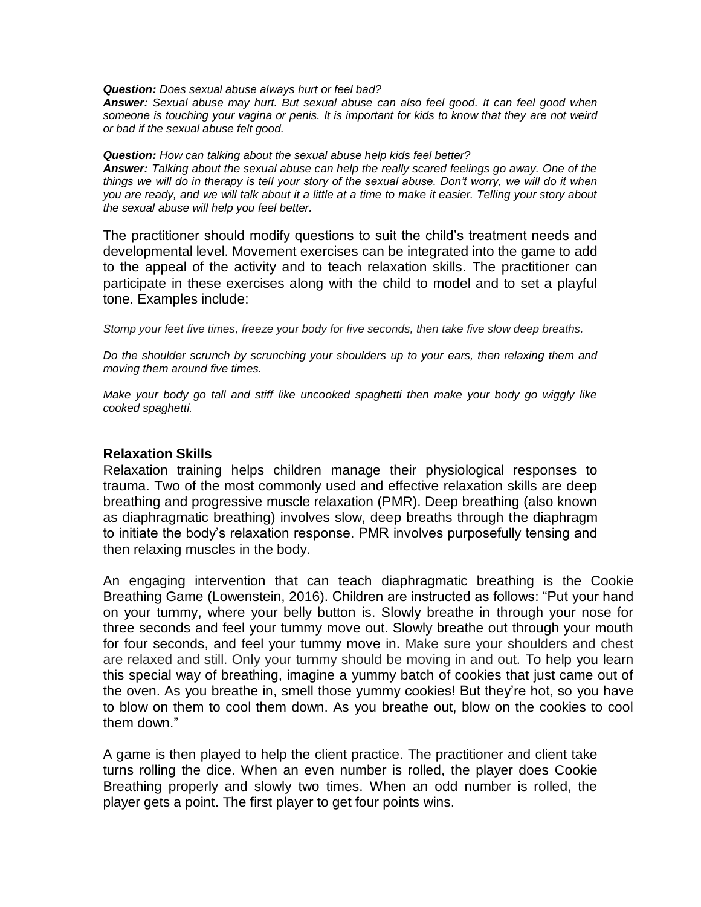*Question: Does sexual abuse always hurt or feel bad?*

*Answer: Sexual abuse may hurt. But sexual abuse can also feel good. It can feel good when someone is touching your vagina or penis. It is important for kids to know that they are not weird or bad if the sexual abuse felt good.* 

*Question: How can talking about the sexual abuse help kids feel better?*

*Answer: Talking about the sexual abuse can help the really scared feelings go away. One of the things we will do in therapy is tell your story of the sexual abuse. Don't worry, we will do it when you are ready, and we will talk about it a little at a time to make it easier. Telling your story about the sexual abuse will help you feel better.* 

The practitioner should modify questions to suit the child's treatment needs and developmental level. Movement exercises can be integrated into the game to add to the appeal of the activity and to teach relaxation skills. The practitioner can participate in these exercises along with the child to model and to set a playful tone. Examples include:

*Stomp your feet five times, freeze your body for five seconds, then take five slow deep breaths.* 

*Do the shoulder scrunch by scrunching your shoulders up to your ears, then relaxing them and moving them around five times.* 

*Make your body go tall and stiff like uncooked spaghetti then make your body go wiggly like cooked spaghetti.* 

#### **Relaxation Skills**

Relaxation training helps children manage their physiological responses to trauma. Two of the most commonly used and effective relaxation skills are deep breathing and progressive muscle relaxation (PMR). Deep breathing (also known as diaphragmatic breathing) involves slow, deep breaths through the diaphragm to initiate the body's relaxation response. PMR involves purposefully tensing and then relaxing muscles in the body.

An engaging intervention that can teach diaphragmatic breathing is the Cookie Breathing Game (Lowenstein, 2016). Children are instructed as follows: "Put your hand on your tummy, where your belly button is. Slowly breathe in through your nose for three seconds and feel your tummy move out. Slowly breathe out through your mouth for four seconds, and feel your tummy move in. Make sure your shoulders and chest are relaxed and still. Only your tummy should be moving in and out. To help you learn this special way of breathing, imagine a yummy batch of cookies that just came out of the oven. As you breathe in, smell those yummy cookies! But they're hot, so you have to blow on them to cool them down. As you breathe out, blow on the cookies to cool them down."

A game is then played to help the client practice. The practitioner and client take turns rolling the dice. When an even number is rolled, the player does Cookie Breathing properly and slowly two times. When an odd number is rolled, the player gets a point. The first player to get four points wins.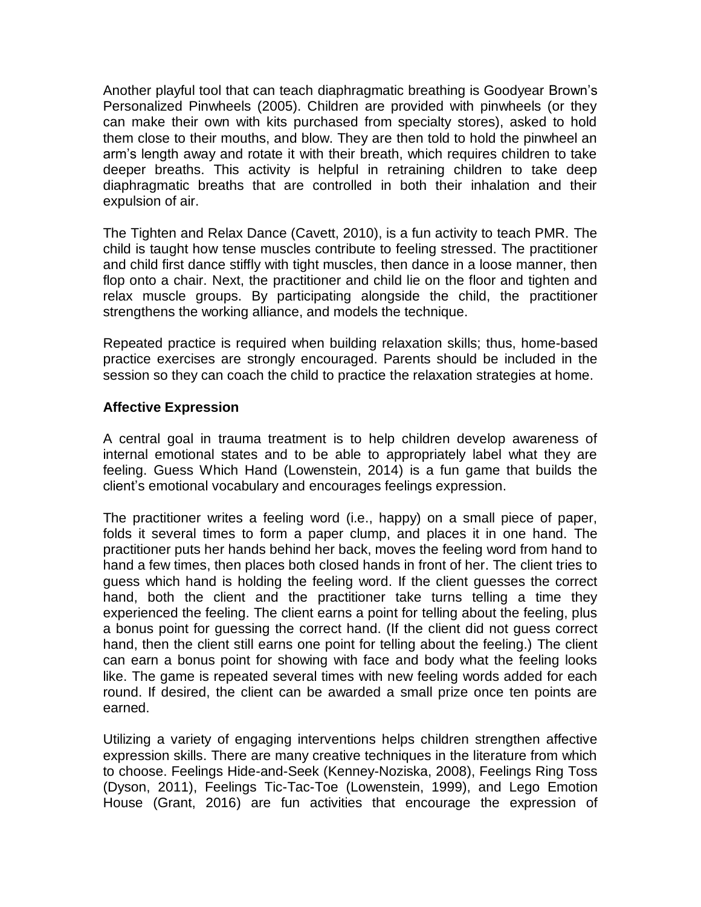Another playful tool that can teach diaphragmatic breathing is Goodyear Brown's Personalized Pinwheels (2005). Children are provided with pinwheels (or they can make their own with kits purchased from specialty stores), asked to hold them close to their mouths, and blow. They are then told to hold the pinwheel an arm's length away and rotate it with their breath, which requires children to take deeper breaths. This activity is helpful in retraining children to take deep diaphragmatic breaths that are controlled in both their inhalation and their expulsion of air.

The Tighten and Relax Dance (Cavett, 2010), is a fun activity to teach PMR. The child is taught how tense muscles contribute to feeling stressed. The practitioner and child first dance stiffly with tight muscles, then dance in a loose manner, then flop onto a chair. Next, the practitioner and child lie on the floor and tighten and relax muscle groups. By participating alongside the child, the practitioner strengthens the working alliance, and models the technique.

Repeated practice is required when building relaxation skills; thus, home-based practice exercises are strongly encouraged. Parents should be included in the session so they can coach the child to practice the relaxation strategies at home.

# **Affective Expression**

A central goal in trauma treatment is to help children develop awareness of internal emotional states and to be able to appropriately label what they are feeling. Guess Which Hand (Lowenstein, 2014) is a fun game that builds the client's emotional vocabulary and encourages feelings expression.

The practitioner writes a feeling word (i.e., happy) on a small piece of paper, folds it several times to form a paper clump, and places it in one hand. The practitioner puts her hands behind her back, moves the feeling word from hand to hand a few times, then places both closed hands in front of her. The client tries to guess which hand is holding the feeling word. If the client guesses the correct hand, both the client and the practitioner take turns telling a time they experienced the feeling. The client earns a point for telling about the feeling, plus a bonus point for guessing the correct hand. (If the client did not guess correct hand, then the client still earns one point for telling about the feeling.) The client can earn a bonus point for showing with face and body what the feeling looks like. The game is repeated several times with new feeling words added for each round. If desired, the client can be awarded a small prize once ten points are earned.

Utilizing a variety of engaging interventions helps children strengthen affective expression skills. There are many creative techniques in the literature from which to choose. Feelings Hide-and-Seek (Kenney-Noziska, 2008), Feelings Ring Toss (Dyson, 2011), Feelings Tic-Tac-Toe (Lowenstein, 1999), and Lego Emotion House (Grant, 2016) are fun activities that encourage the expression of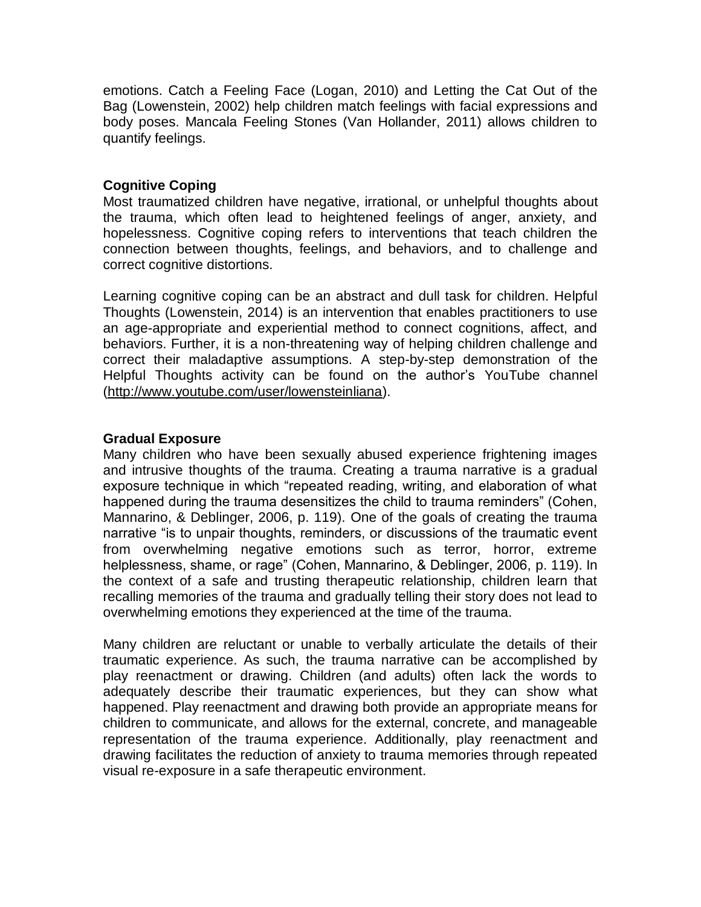emotions. Catch a Feeling Face (Logan, 2010) and Letting the Cat Out of the Bag (Lowenstein, 2002) help children match feelings with facial expressions and body poses. Mancala Feeling Stones (Van Hollander, 2011) allows children to quantify feelings.

### **Cognitive Coping**

Most traumatized children have negative, irrational, or unhelpful thoughts about the trauma, which often lead to heightened feelings of anger, anxiety, and hopelessness. Cognitive coping refers to interventions that teach children the connection between thoughts, feelings, and behaviors, and to challenge and correct cognitive distortions.

Learning cognitive coping can be an abstract and dull task for children. Helpful Thoughts (Lowenstein, 2014) is an intervention that enables practitioners to use an age-appropriate and experiential method to connect cognitions, affect, and behaviors. Further, it is a non-threatening way of helping children challenge and correct their maladaptive assumptions. A step-by-step demonstration of the Helpful Thoughts activity can be found on the author's YouTube channel [\(http://www.youtube.com/user/lowensteinliana\)](http://www.youtube.com/user/lowensteinliana).

### **Gradual Exposure**

Many children who have been sexually abused experience frightening images and intrusive thoughts of the trauma. Creating a trauma narrative is a gradual exposure technique in which "repeated reading, writing, and elaboration of what happened during the trauma desensitizes the child to trauma reminders" (Cohen, Mannarino, & Deblinger, 2006, p. 119). One of the goals of creating the trauma narrative "is to unpair thoughts, reminders, or discussions of the traumatic event from overwhelming negative emotions such as terror, horror, extreme helplessness, shame, or rage" (Cohen, Mannarino, & Deblinger, 2006, p. 119). In the context of a safe and trusting therapeutic relationship, children learn that recalling memories of the trauma and gradually telling their story does not lead to overwhelming emotions they experienced at the time of the trauma.

Many children are reluctant or unable to verbally articulate the details of their traumatic experience. As such, the trauma narrative can be accomplished by play reenactment or drawing. Children (and adults) often lack the words to adequately describe their traumatic experiences, but they can show what happened. Play reenactment and drawing both provide an appropriate means for children to communicate, and allows for the external, concrete, and manageable representation of the trauma experience. Additionally, play reenactment and drawing facilitates the reduction of anxiety to trauma memories through repeated visual re-exposure in a safe therapeutic environment.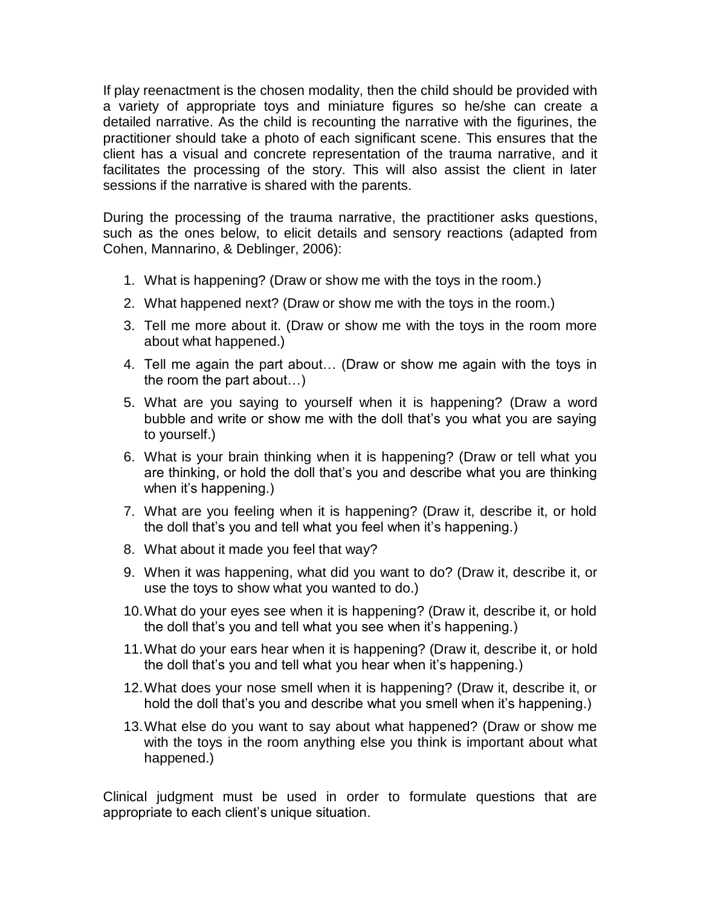If play reenactment is the chosen modality, then the child should be provided with a variety of appropriate toys and miniature figures so he/she can create a detailed narrative. As the child is recounting the narrative with the figurines, the practitioner should take a photo of each significant scene. This ensures that the client has a visual and concrete representation of the trauma narrative, and it facilitates the processing of the story. This will also assist the client in later sessions if the narrative is shared with the parents.

During the processing of the trauma narrative, the practitioner asks questions, such as the ones below, to elicit details and sensory reactions (adapted from Cohen, Mannarino, & Deblinger, 2006):

- 1. What is happening? (Draw or show me with the toys in the room.)
- 2. What happened next? (Draw or show me with the toys in the room.)
- 3. Tell me more about it. (Draw or show me with the toys in the room more about what happened.)
- 4. Tell me again the part about… (Draw or show me again with the toys in the room the part about…)
- 5. What are you saying to yourself when it is happening? (Draw a word bubble and write or show me with the doll that's you what you are saying to yourself.)
- 6. What is your brain thinking when it is happening? (Draw or tell what you are thinking, or hold the doll that's you and describe what you are thinking when it's happening.)
- 7. What are you feeling when it is happening? (Draw it, describe it, or hold the doll that's you and tell what you feel when it's happening.)
- 8. What about it made you feel that way?
- 9. When it was happening, what did you want to do? (Draw it, describe it, or use the toys to show what you wanted to do.)
- 10.What do your eyes see when it is happening? (Draw it, describe it, or hold the doll that's you and tell what you see when it's happening.)
- 11.What do your ears hear when it is happening? (Draw it, describe it, or hold the doll that's you and tell what you hear when it's happening.)
- 12.What does your nose smell when it is happening? (Draw it, describe it, or hold the doll that's you and describe what you smell when it's happening.)
- 13.What else do you want to say about what happened? (Draw or show me with the toys in the room anything else you think is important about what happened.)

Clinical judgment must be used in order to formulate questions that are appropriate to each client's unique situation.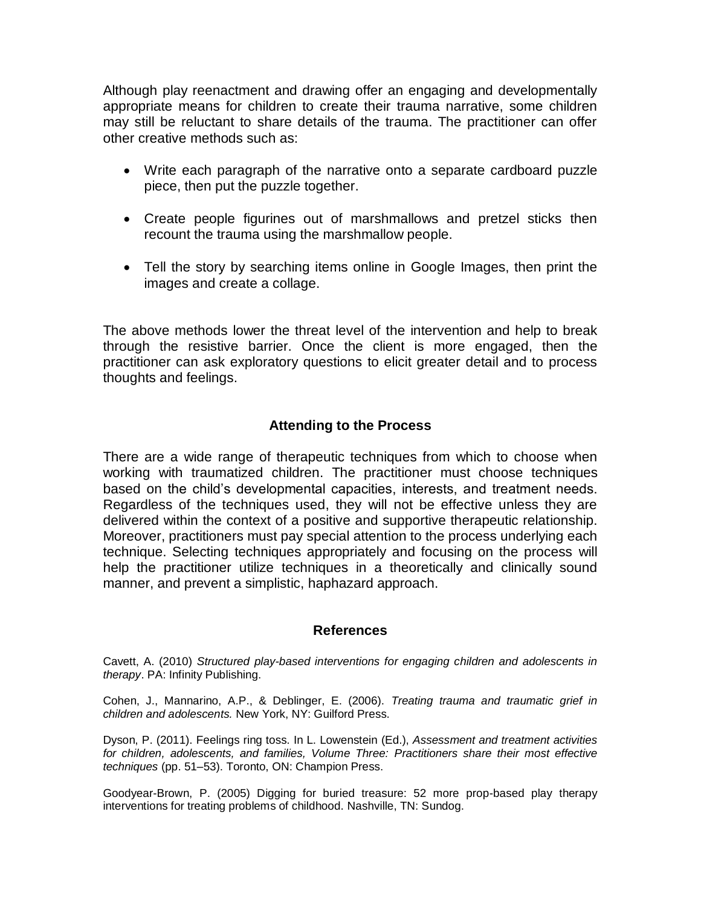Although play reenactment and drawing offer an engaging and developmentally appropriate means for children to create their trauma narrative, some children may still be reluctant to share details of the trauma. The practitioner can offer other creative methods such as:

- Write each paragraph of the narrative onto a separate cardboard puzzle piece, then put the puzzle together.
- Create people figurines out of marshmallows and pretzel sticks then recount the trauma using the marshmallow people.
- Tell the story by searching items online in Google Images, then print the images and create a collage.

The above methods lower the threat level of the intervention and help to break through the resistive barrier. Once the client is more engaged, then the practitioner can ask exploratory questions to elicit greater detail and to process thoughts and feelings.

# **Attending to the Process**

There are a wide range of therapeutic techniques from which to choose when working with traumatized children. The practitioner must choose techniques based on the child's developmental capacities, interests, and treatment needs. Regardless of the techniques used, they will not be effective unless they are delivered within the context of a positive and supportive therapeutic relationship. Moreover, practitioners must pay special attention to the process underlying each technique. Selecting techniques appropriately and focusing on the process will help the practitioner utilize techniques in a theoretically and clinically sound manner, and prevent a simplistic, haphazard approach.

### **References**

Cavett, A. (2010) *Structured play-based interventions for engaging children and adolescents in therapy*. PA: Infinity Publishing.

Cohen, J., Mannarino, A.P., & Deblinger, E. (2006). *Treating trauma and traumatic grief in children and adolescents.* New York, NY: Guilford Press.

Dyson, P. (2011). Feelings ring toss. In L. Lowenstein (Ed.), *Assessment and treatment activities for children, adolescents, and families, Volume Three: Practitioners share their most effective techniques* (pp. 51–53). Toronto, ON: Champion Press.

Goodyear-Brown, P. (2005) Digging for buried treasure: 52 more prop-based play therapy interventions for treating problems of childhood. Nashville, TN: Sundog.